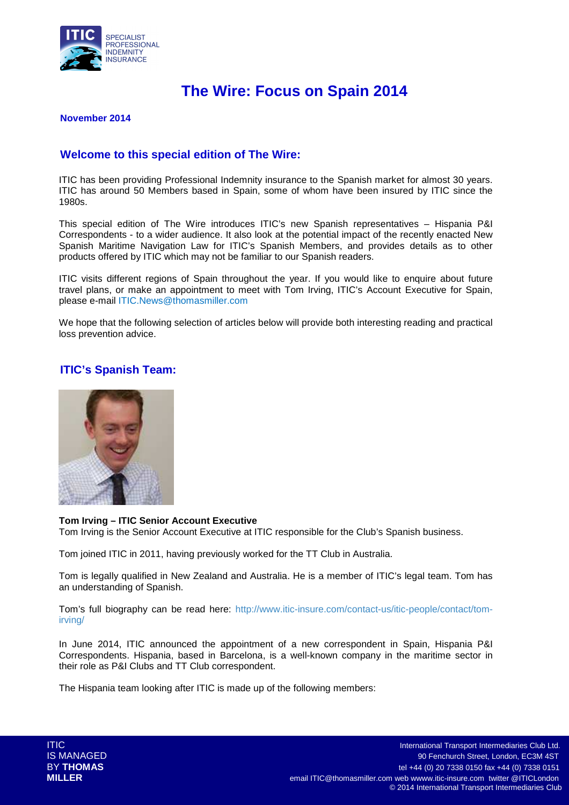

# **The Wire: Focus on Spain 2014**

### **November 2014**

# **Welcome to this special edition of The Wire:**

ITIC has been providing Professional Indemnity insurance to the Spanish market for almost 30 years. ITIC has around 50 Members based in Spain, some of whom have been insured by ITIC since the 1980s.

This special edition of The Wire introduces ITIC's new Spanish representatives – Hispania P&I Correspondents - to a wider audience. It also look at the potential impact of the recently enacted New Spanish Maritime Navigation Law for ITIC's Spanish Members, and provides details as to other products offered by ITIC which may not be familiar to our Spanish readers.

ITIC visits different regions of Spain throughout the year. If you would like to enquire about future travel plans, or make an appointment to meet with Tom Irving, ITIC's Account Executive for Spain, please e-mail ITIC.News@thomasmiller.com

We hope that the following selection of articles below will provide both interesting reading and practical loss prevention advice.

# **ITIC's Spanish Team:**



#### **Tom Irving – ITIC Senior Account Executive**

Tom Irving is the Senior Account Executive at ITIC responsible for the Club's Spanish business.

Tom joined ITIC in 2011, having previously worked for the TT Club in Australia.

Tom is legally qualified in New Zealand and Australia. He is a member of ITIC's legal team. Tom has an understanding of Spanish.

Tom's full biography can be read here: http://www.itic-insure.com/contact-us/itic-people/contact/tomirving/

In June 2014, ITIC announced the appointment of a new correspondent in Spain, Hispania P&I Correspondents. Hispania, based in Barcelona, is a well-known company in the maritime sector in their role as P&I Clubs and TT Club correspondent.

The Hispania team looking after ITIC is made up of the following members: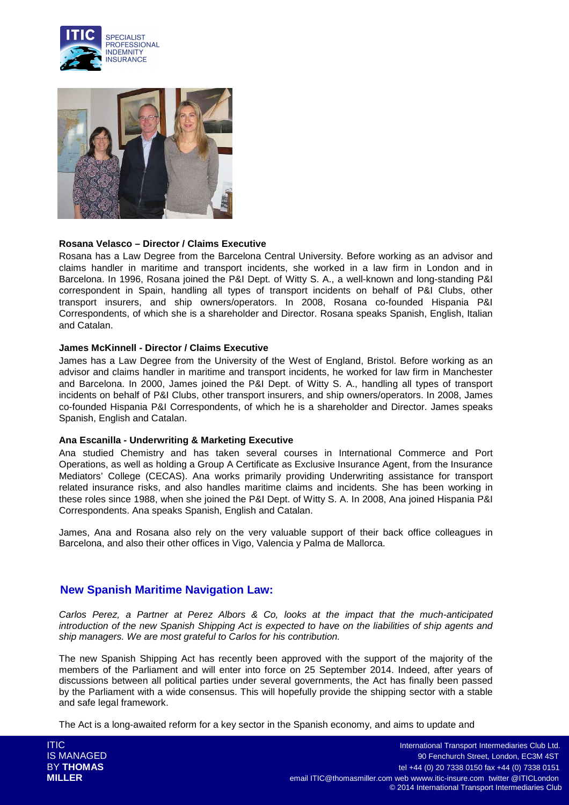



### **Rosana Velasco – Director / Claims Executive**

Rosana has a Law Degree from the Barcelona Central University. Before working as an advisor and claims handler in maritime and transport incidents, she worked in a law firm in London and in Barcelona. In 1996, Rosana joined the P&I Dept. of Witty S. A., a well-known and long-standing P&I correspondent in Spain, handling all types of transport incidents on behalf of P&I Clubs, other transport insurers, and ship owners/operators. In 2008, Rosana co-founded Hispania P&I Correspondents, of which she is a shareholder and Director. Rosana speaks Spanish, English, Italian and Catalan.

### **James McKinnell - Director / Claims Executive**

James has a Law Degree from the University of the West of England, Bristol. Before working as an advisor and claims handler in maritime and transport incidents, he worked for law firm in Manchester and Barcelona. In 2000, James joined the P&I Dept. of Witty S. A., handling all types of transport incidents on behalf of P&I Clubs, other transport insurers, and ship owners/operators. In 2008, James co-founded Hispania P&I Correspondents, of which he is a shareholder and Director. James speaks Spanish, English and Catalan.

#### **Ana Escanilla - Underwriting & Marketing Executive**

Ana studied Chemistry and has taken several courses in International Commerce and Port Operations, as well as holding a Group A Certificate as Exclusive Insurance Agent, from the Insurance Mediators' College (CECAS). Ana works primarily providing Underwriting assistance for transport related insurance risks, and also handles maritime claims and incidents. She has been working in these roles since 1988, when she joined the P&I Dept. of Witty S. A. In 2008, Ana joined Hispania P&I Correspondents. Ana speaks Spanish, English and Catalan.

James, Ana and Rosana also rely on the very valuable support of their back office colleagues in Barcelona, and also their other offices in Vigo, Valencia y Palma de Mallorca.

### **New Spanish Maritime Navigation Law:**

Carlos Perez, a Partner at Perez Albors & Co, looks at the impact that the much-anticipated introduction of the new Spanish Shipping Act is expected to have on the liabilities of ship agents and ship managers. We are most grateful to Carlos for his contribution.

The new Spanish Shipping Act has recently been approved with the support of the majority of the members of the Parliament and will enter into force on 25 September 2014. Indeed, after years of discussions between all political parties under several governments, the Act has finally been passed by the Parliament with a wide consensus. This will hopefully provide the shipping sector with a stable and safe legal framework.

The Act is a long-awaited reform for a key sector in the Spanish economy, and aims to update and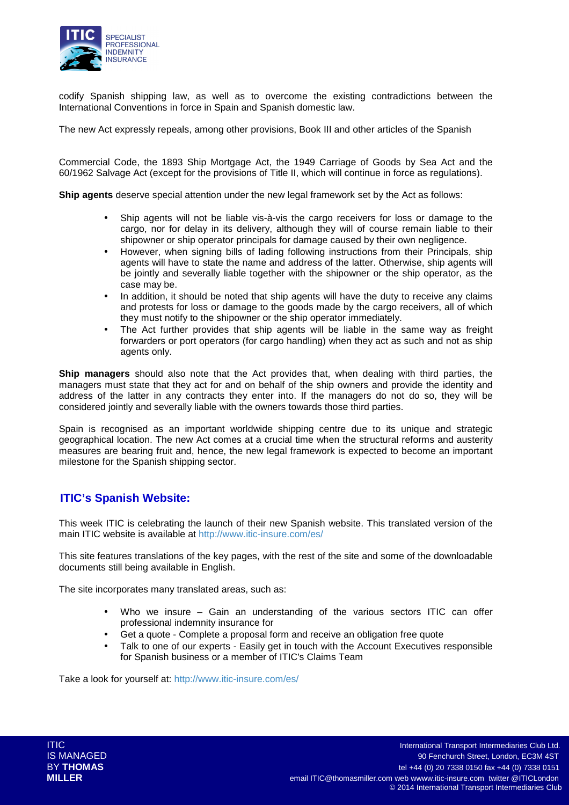

codify Spanish shipping law, as well as to overcome the existing contradictions between the International Conventions in force in Spain and Spanish domestic law.

The new Act expressly repeals, among other provisions, Book III and other articles of the Spanish

Commercial Code, the 1893 Ship Mortgage Act, the 1949 Carriage of Goods by Sea Act and the 60/1962 Salvage Act (except for the provisions of Title II, which will continue in force as regulations).

**Ship agents** deserve special attention under the new legal framework set by the Act as follows:

- Ship agents will not be liable vis-à-vis the cargo receivers for loss or damage to the cargo, nor for delay in its delivery, although they will of course remain liable to their shipowner or ship operator principals for damage caused by their own negligence.
- However, when signing bills of lading following instructions from their Principals, ship agents will have to state the name and address of the latter. Otherwise, ship agents will be jointly and severally liable together with the shipowner or the ship operator, as the case may be.
- In addition, it should be noted that ship agents will have the duty to receive any claims and protests for loss or damage to the goods made by the cargo receivers, all of which they must notify to the shipowner or the ship operator immediately.
- The Act further provides that ship agents will be liable in the same way as freight forwarders or port operators (for cargo handling) when they act as such and not as ship agents only.

**Ship managers** should also note that the Act provides that, when dealing with third parties, the managers must state that they act for and on behalf of the ship owners and provide the identity and address of the latter in any contracts they enter into. If the managers do not do so, they will be considered jointly and severally liable with the owners towards those third parties.

Spain is recognised as an important worldwide shipping centre due to its unique and strategic geographical location. The new Act comes at a crucial time when the structural reforms and austerity measures are bearing fruit and, hence, the new legal framework is expected to become an important milestone for the Spanish shipping sector.

# **ITIC's Spanish Website:**

This week ITIC is celebrating the launch of their new Spanish website. This translated version of the main ITIC website is available at http://www.itic-insure.com/es/

This site features translations of the key pages, with the rest of the site and some of the downloadable documents still being available in English.

The site incorporates many translated areas, such as:

- Who we insure Gain an understanding of the various sectors ITIC can offer professional indemnity insurance for
- Get a quote Complete a proposal form and receive an obligation free quote
- Talk to one of our experts Easily get in touch with the Account Executives responsible for Spanish business or a member of ITIC's Claims Team

Take a look for yourself at: http://www.itic-insure.com/es/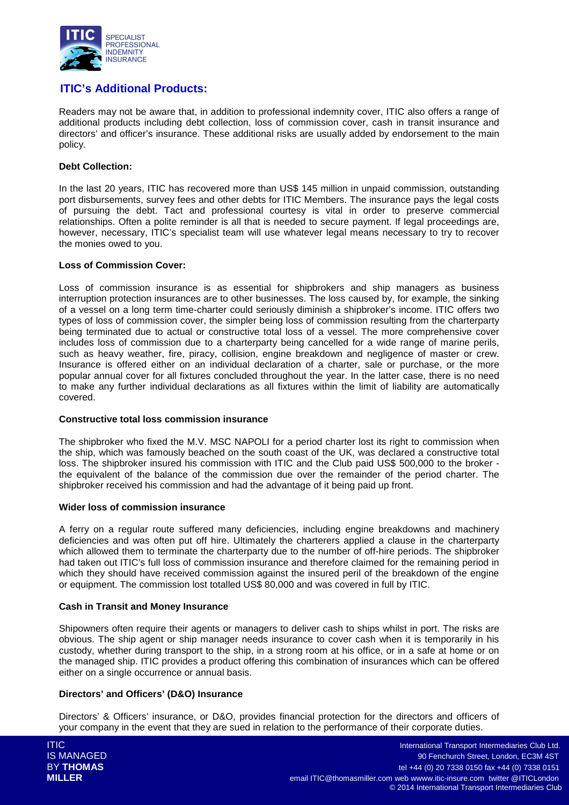

# **ITIC's Additional Products:**

Readers may not be aware that, in addition to professional indemnity cover, ITIC also offers a range of additional products including debt collection, loss of commission cover, cash in transit insurance and directors' and officer's insurance. These additional risks are usually added by endorsement to the main policy.

### **Debt Collection:**

In the last 20 years, ITIC has recovered more than US\$ 145 million in unpaid commission, outstanding port disbursements, survey fees and other debts for ITIC Members. The insurance pays the legal costs of pursuing the debt. Tact and professional courtesy is vital in order to preserve commercial relationships. Often a polite reminder is all that is needed to secure payment. If legal proceedings are, however, necessary, ITIC's specialist team will use whatever legal means necessary to try to recover the monies owed to you.

#### **Loss of Commission Cover:**

Loss of commission insurance is as essential for shipbrokers and ship managers as business interruption protection insurances are to other businesses. The loss caused by, for example, the sinking of a vessel on a long term time-charter could seriously diminish a shipbroker's income. ITIC offers two types of loss of commission cover, the simpler being loss of commission resulting from the charterparty being terminated due to actual or constructive total loss of a vessel. The more comprehensive cover includes loss of commission due to a charterparty being cancelled for a wide range of marine perils, such as heavy weather, fire, piracy, collision, engine breakdown and negligence of master or crew. Insurance is offered either on an individual declaration of a charter, sale or purchase, or the more popular annual cover for all fixtures concluded throughout the year. In the latter case, there is no need to make any further individual declarations as all fixtures within the limit of liability are automatically covered.

#### **Constructive total loss commission insurance**

The shipbroker who fixed the M.V. MSC NAPOLI for a period charter lost its right to commission when the ship, which was famously beached on the south coast of the UK, was declared a constructive total loss. The shipbroker insured his commission with ITIC and the Club paid US\$ 500,000 to the broker the equivalent of the balance of the commission due over the remainder of the period charter. The shipbroker received his commission and had the advantage of it being paid up front.

#### **Wider loss of commission insurance**

A ferry on a regular route suffered many deficiencies, including engine breakdowns and machinery deficiencies and was often put off hire. Ultimately the charterers applied a clause in the charterparty which allowed them to terminate the charterparty due to the number of off-hire periods. The shipbroker had taken out ITIC's full loss of commission insurance and therefore claimed for the remaining period in which they should have received commission against the insured peril of the breakdown of the engine or equipment. The commission lost totalled US\$ 80,000 and was covered in full by ITIC.

### **Cash in Transit and Money Insurance**

Shipowners often require their agents or managers to deliver cash to ships whilst in port. The risks are obvious. The ship agent or ship manager needs insurance to cover cash when it is temporarily in his custody, whether during transport to the ship, in a strong room at his office, or in a safe at home or on the managed ship. ITIC provides a product offering this combination of insurances which can be offered either on a single occurrence or annual basis.

### **Directors' and Officers' (D&O) Insurance**

Directors' & Officers' insurance, or D&O, provides financial protection for the directors and officers of your company in the event that they are sued in relation to the performance of their corporate duties.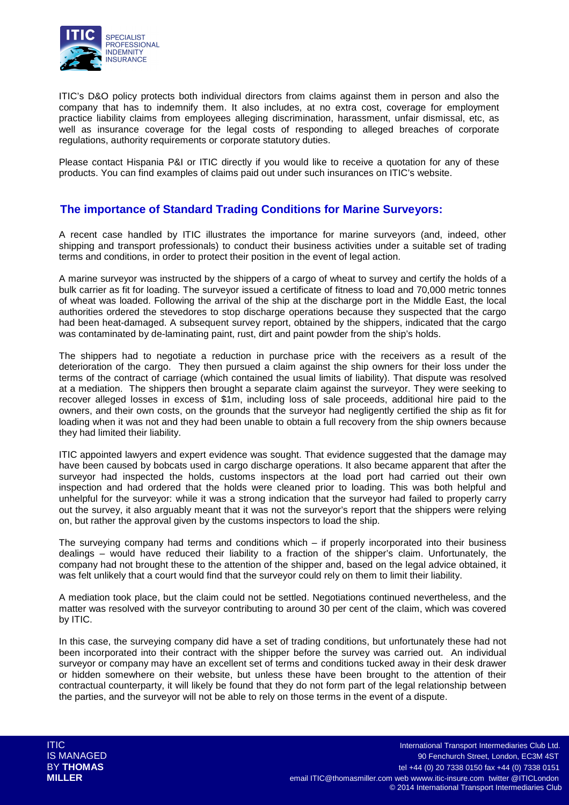

ITIC's D&O policy protects both individual directors from claims against them in person and also the company that has to indemnify them. It also includes, at no extra cost, coverage for employment practice liability claims from employees alleging discrimination, harassment, unfair dismissal, etc, as well as insurance coverage for the legal costs of responding to alleged breaches of corporate regulations, authority requirements or corporate statutory duties.

Please contact Hispania P&I or ITIC directly if you would like to receive a quotation for any of these products. You can find examples of claims paid out under such insurances on ITIC's website.

# **The importance of Standard Trading Conditions for Marine Surveyors:**

A recent case handled by ITIC illustrates the importance for marine surveyors (and, indeed, other shipping and transport professionals) to conduct their business activities under a suitable set of trading terms and conditions, in order to protect their position in the event of legal action.

A marine surveyor was instructed by the shippers of a cargo of wheat to survey and certify the holds of a bulk carrier as fit for loading. The surveyor issued a certificate of fitness to load and 70,000 metric tonnes of wheat was loaded. Following the arrival of the ship at the discharge port in the Middle East, the local authorities ordered the stevedores to stop discharge operations because they suspected that the cargo had been heat-damaged. A subsequent survey report, obtained by the shippers, indicated that the cargo was contaminated by de-laminating paint, rust, dirt and paint powder from the ship's holds.

The shippers had to negotiate a reduction in purchase price with the receivers as a result of the deterioration of the cargo. They then pursued a claim against the ship owners for their loss under the terms of the contract of carriage (which contained the usual limits of liability). That dispute was resolved at a mediation. The shippers then brought a separate claim against the surveyor. They were seeking to recover alleged losses in excess of \$1m, including loss of sale proceeds, additional hire paid to the owners, and their own costs, on the grounds that the surveyor had negligently certified the ship as fit for loading when it was not and they had been unable to obtain a full recovery from the ship owners because they had limited their liability.

ITIC appointed lawyers and expert evidence was sought. That evidence suggested that the damage may have been caused by bobcats used in cargo discharge operations. It also became apparent that after the surveyor had inspected the holds, customs inspectors at the load port had carried out their own inspection and had ordered that the holds were cleaned prior to loading. This was both helpful and unhelpful for the surveyor: while it was a strong indication that the surveyor had failed to properly carry out the survey, it also arguably meant that it was not the surveyor's report that the shippers were relying on, but rather the approval given by the customs inspectors to load the ship.

The surveying company had terms and conditions which – if properly incorporated into their business dealings – would have reduced their liability to a fraction of the shipper's claim. Unfortunately, the company had not brought these to the attention of the shipper and, based on the legal advice obtained, it was felt unlikely that a court would find that the surveyor could rely on them to limit their liability.

A mediation took place, but the claim could not be settled. Negotiations continued nevertheless, and the matter was resolved with the surveyor contributing to around 30 per cent of the claim, which was covered by ITIC.

In this case, the surveying company did have a set of trading conditions, but unfortunately these had not been incorporated into their contract with the shipper before the survey was carried out. An individual surveyor or company may have an excellent set of terms and conditions tucked away in their desk drawer or hidden somewhere on their website, but unless these have been brought to the attention of their contractual counterparty, it will likely be found that they do not form part of the legal relationship between the parties, and the surveyor will not be able to rely on those terms in the event of a dispute.